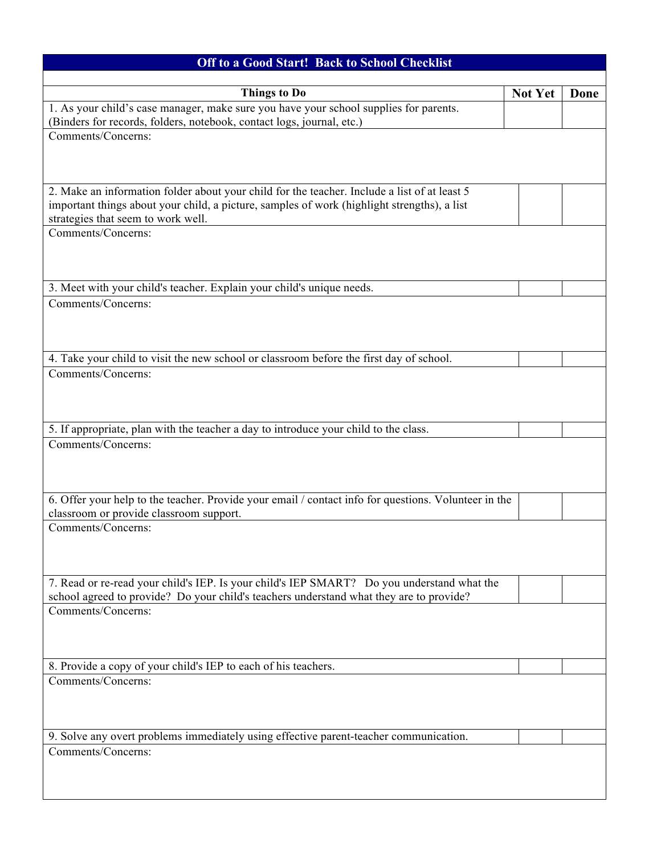| <b>Off to a Good Start! Back to School Checklist</b>                                                                                                                                        |                |      |  |
|---------------------------------------------------------------------------------------------------------------------------------------------------------------------------------------------|----------------|------|--|
| <b>Things to Do</b>                                                                                                                                                                         | <b>Not Yet</b> | Done |  |
| 1. As your child's case manager, make sure you have your school supplies for parents.                                                                                                       |                |      |  |
| (Binders for records, folders, notebook, contact logs, journal, etc.)<br>Comments/Concerns:                                                                                                 |                |      |  |
|                                                                                                                                                                                             |                |      |  |
| 2. Make an information folder about your child for the teacher. Include a list of at least 5<br>important things about your child, a picture, samples of work (highlight strengths), a list |                |      |  |
| strategies that seem to work well.<br>Comments/Concerns:                                                                                                                                    |                |      |  |
|                                                                                                                                                                                             |                |      |  |
| 3. Meet with your child's teacher. Explain your child's unique needs.                                                                                                                       |                |      |  |
| Comments/Concerns:                                                                                                                                                                          |                |      |  |
| 4. Take your child to visit the new school or classroom before the first day of school.                                                                                                     |                |      |  |
| Comments/Concerns:                                                                                                                                                                          |                |      |  |
| 5. If appropriate, plan with the teacher a day to introduce your child to the class.<br>Comments/Concerns:                                                                                  |                |      |  |
|                                                                                                                                                                                             |                |      |  |
| 6. Offer your help to the teacher. Provide your email / contact info for questions. Volunteer in the<br>classroom or provide classroom support.                                             |                |      |  |
| Comments/Concerns:                                                                                                                                                                          |                |      |  |
| 7. Read or re-read your child's IEP. Is your child's IEP SMART? Do you understand what the<br>school agreed to provide? Do your child's teachers understand what they are to provide?       |                |      |  |
| Comments/Concerns:                                                                                                                                                                          |                |      |  |
| 8. Provide a copy of your child's IEP to each of his teachers.                                                                                                                              |                |      |  |
| Comments/Concerns:                                                                                                                                                                          |                |      |  |
| 9. Solve any overt problems immediately using effective parent-teacher communication.                                                                                                       |                |      |  |
| Comments/Concerns:                                                                                                                                                                          |                |      |  |